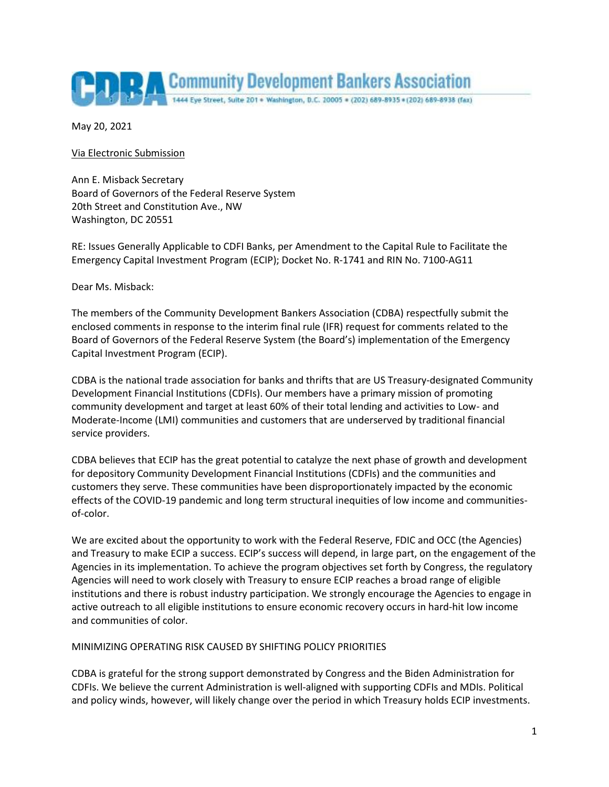

May 20, 2021

Via Electronic Submission

Ann E. Misback Secretary Board of Governors of the Federal Reserve System 20th Street and Constitution Ave., NW Washington, DC 20551

RE: Issues Generally Applicable to CDFI Banks, per Amendment to the Capital Rule to Facilitate the Emergency Capital Investment Program (ECIP); Docket No. R-1741 and RIN No. 7100-AG11

Dear Ms. Misback:

The members of the Community Development Bankers Association (CDBA) respectfully submit the enclosed comments in response to the interim final rule (IFR) request for comments related to the Board of Governors of the Federal Reserve System (the Board's) implementation of the Emergency Capital Investment Program (ECIP).

CDBA is the national trade association for banks and thrifts that are US Treasury-designated Community Development Financial Institutions (CDFIs). Our members have a primary mission of promoting community development and target at least 60% of their total lending and activities to Low- and Moderate-Income (LMI) communities and customers that are underserved by traditional financial service providers.

CDBA believes that ECIP has the great potential to catalyze the next phase of growth and development for depository Community Development Financial Institutions (CDFIs) and the communities and customers they serve. These communities have been disproportionately impacted by the economic effects of the COVID-19 pandemic and long term structural inequities of low income and communitiesof-color.

We are excited about the opportunity to work with the Federal Reserve, FDIC and OCC (the Agencies) and Treasury to make ECIP a success. ECIP's success will depend, in large part, on the engagement of the Agencies in its implementation. To achieve the program objectives set forth by Congress, the regulatory Agencies will need to work closely with Treasury to ensure ECIP reaches a broad range of eligible institutions and there is robust industry participation. We strongly encourage the Agencies to engage in active outreach to all eligible institutions to ensure economic recovery occurs in hard-hit low income and communities of color.

MINIMIZING OPERATING RISK CAUSED BY SHIFTING POLICY PRIORITIES

CDBA is grateful for the strong support demonstrated by Congress and the Biden Administration for CDFIs. We believe the current Administration is well-aligned with supporting CDFIs and MDIs. Political and policy winds, however, will likely change over the period in which Treasury holds ECIP investments.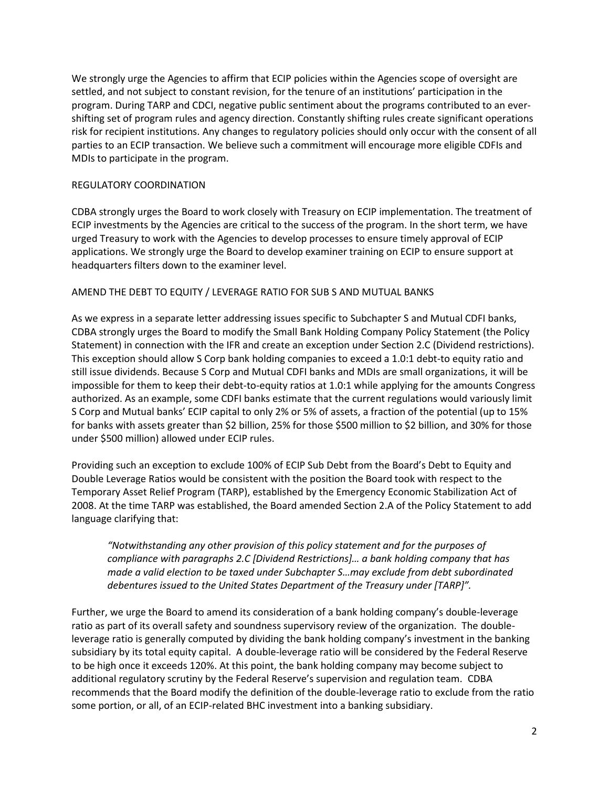We strongly urge the Agencies to affirm that ECIP policies within the Agencies scope of oversight are settled, and not subject to constant revision, for the tenure of an institutions' participation in the program. During TARP and CDCI, negative public sentiment about the programs contributed to an evershifting set of program rules and agency direction. Constantly shifting rules create significant operations risk for recipient institutions. Any changes to regulatory policies should only occur with the consent of all parties to an ECIP transaction. We believe such a commitment will encourage more eligible CDFIs and MDIs to participate in the program.

## REGULATORY COORDINATION

CDBA strongly urges the Board to work closely with Treasury on ECIP implementation. The treatment of ECIP investments by the Agencies are critical to the success of the program. In the short term, we have urged Treasury to work with the Agencies to develop processes to ensure timely approval of ECIP applications. We strongly urge the Board to develop examiner training on ECIP to ensure support at headquarters filters down to the examiner level.

## AMEND THE DEBT TO EQUITY / LEVERAGE RATIO FOR SUB S AND MUTUAL BANKS

As we express in a separate letter addressing issues specific to Subchapter S and Mutual CDFI banks, CDBA strongly urges the Board to modify the Small Bank Holding Company Policy Statement (the Policy Statement) in connection with the IFR and create an exception under Section 2.C (Dividend restrictions). This exception should allow S Corp bank holding companies to exceed a 1.0:1 debt-to equity ratio and still issue dividends. Because S Corp and Mutual CDFI banks and MDIs are small organizations, it will be impossible for them to keep their debt-to-equity ratios at 1.0:1 while applying for the amounts Congress authorized. As an example, some CDFI banks estimate that the current regulations would variously limit S Corp and Mutual banks' ECIP capital to only 2% or 5% of assets, a fraction of the potential (up to 15% for banks with assets greater than \$2 billion, 25% for those \$500 million to \$2 billion, and 30% for those under \$500 million) allowed under ECIP rules.

Providing such an exception to exclude 100% of ECIP Sub Debt from the Board's Debt to Equity and Double Leverage Ratios would be consistent with the position the Board took with respect to the Temporary Asset Relief Program (TARP), established by the Emergency Economic Stabilization Act of 2008. At the time TARP was established, the Board amended Section 2.A of the Policy Statement to add language clarifying that:

*"Notwithstanding any other provision of this policy statement and for the purposes of compliance with paragraphs 2.C [Dividend Restrictions]… a bank holding company that has made a valid election to be taxed under Subchapter S…may exclude from debt subordinated debentures issued to the United States Department of the Treasury under [TARP]".* 

Further, we urge the Board to amend its consideration of a bank holding company's double-leverage ratio as part of its overall safety and soundness supervisory review of the organization. The doubleleverage ratio is generally computed by dividing the bank holding company's investment in the banking subsidiary by its total equity capital. A double-leverage ratio will be considered by the Federal Reserve to be high once it exceeds 120%. At this point, the bank holding company may become subject to additional regulatory scrutiny by the Federal Reserve's supervision and regulation team. CDBA recommends that the Board modify the definition of the double-leverage ratio to exclude from the ratio some portion, or all, of an ECIP-related BHC investment into a banking subsidiary.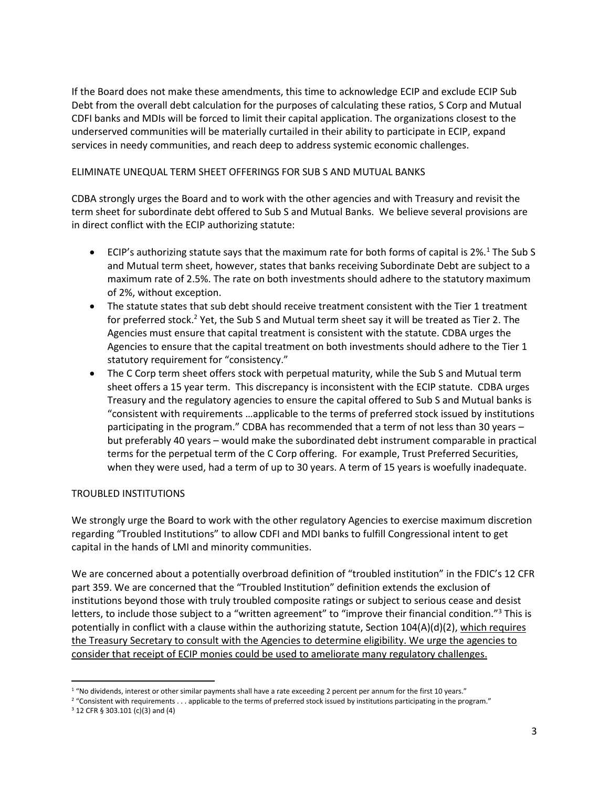If the Board does not make these amendments, this time to acknowledge ECIP and exclude ECIP Sub Debt from the overall debt calculation for the purposes of calculating these ratios, S Corp and Mutual CDFI banks and MDIs will be forced to limit their capital application. The organizations closest to the underserved communities will be materially curtailed in their ability to participate in ECIP, expand services in needy communities, and reach deep to address systemic economic challenges.

## ELIMINATE UNEQUAL TERM SHEET OFFERINGS FOR SUB S AND MUTUAL BANKS

CDBA strongly urges the Board and to work with the other agencies and with Treasury and revisit the term sheet for subordinate debt offered to Sub S and Mutual Banks. We believe several provisions are in direct conflict with the ECIP authorizing statute:

- $\bullet$  ECIP's authorizing statute says that the maximum rate for both forms of capital is 2%.<sup>1</sup> The Sub S and Mutual term sheet, however, states that banks receiving Subordinate Debt are subject to a maximum rate of 2.5%. The rate on both investments should adhere to the statutory maximum of 2%, without exception.
- The statute states that sub debt should receive treatment consistent with the Tier 1 treatment for preferred stock.<sup>2</sup> Yet, the Sub S and Mutual term sheet say it will be treated as Tier 2. The Agencies must ensure that capital treatment is consistent with the statute. CDBA urges the Agencies to ensure that the capital treatment on both investments should adhere to the Tier 1 statutory requirement for "consistency."
- The C Corp term sheet offers stock with perpetual maturity, while the Sub S and Mutual term sheet offers a 15 year term. This discrepancy is inconsistent with the ECIP statute. CDBA urges Treasury and the regulatory agencies to ensure the capital offered to Sub S and Mutual banks is "consistent with requirements …applicable to the terms of preferred stock issued by institutions participating in the program." CDBA has recommended that a term of not less than 30 years – but preferably 40 years – would make the subordinated debt instrument comparable in practical terms for the perpetual term of the C Corp offering. For example, Trust Preferred Securities, when they were used, had a term of up to 30 years. A term of 15 years is woefully inadequate.

## TROUBLED INSTITUTIONS

We strongly urge the Board to work with the other regulatory Agencies to exercise maximum discretion regarding "Troubled Institutions" to allow CDFI and MDI banks to fulfill Congressional intent to get capital in the hands of LMI and minority communities.

We are concerned about a potentially overbroad definition of "troubled institution" in the FDIC's 12 CFR part 359. We are concerned that the "Troubled Institution" definition extends the exclusion of institutions beyond those with truly troubled composite ratings or subject to serious cease and desist letters, to include those subject to a "written agreement" to "improve their financial condition."<sup>3</sup> This is potentially in conflict with a clause within the authorizing statute, Section 104(A)(d)(2), which requires the Treasury Secretary to consult with the Agencies to determine eligibility. We urge the agencies to consider that receipt of ECIP monies could be used to ameliorate many regulatory challenges.

 $\overline{\phantom{a}}$ 

<sup>&</sup>lt;sup>1</sup> "No dividends, interest or other similar payments shall have a rate exceeding 2 percent per annum for the first 10 years."

<sup>&</sup>lt;sup>2</sup> "Consistent with requirements . . . applicable to the terms of preferred stock issued by institutions participating in the program."

<sup>3</sup> 12 CFR § 303.101 (c)(3) and (4)